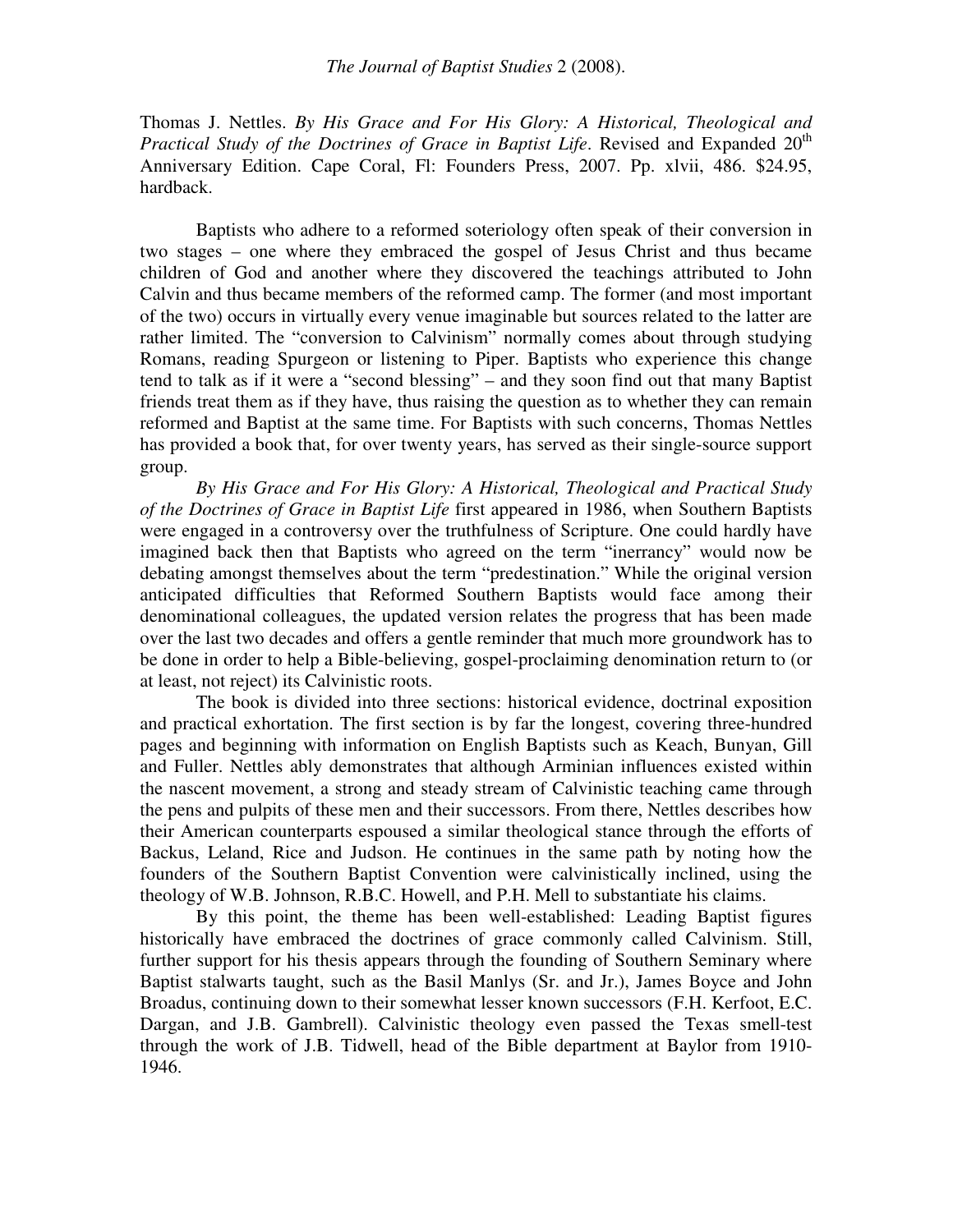Thomas J. Nettles. *By His Grace and For His Glory: A Historical, Theological and Practical Study of the Doctrines of Grace in Baptist Life*. Revised and Expanded 20 th Anniversary Edition. Cape Coral, Fl: Founders Press, 2007. Pp. xlvii, 486. \$24.95, hardback.

Baptists who adhere to a reformed soteriology often speak of their conversion in two stages – one where they embraced the gospel of Jesus Christ and thus became children of God and another where they discovered the teachings attributed to John Calvin and thus became members of the reformed camp. The former (and most important of the two) occurs in virtually every venue imaginable but sources related to the latter are rather limited. The "conversion to Calvinism" normally comes about through studying Romans, reading Spurgeon or listening to Piper. Baptists who experience this change tend to talk as if it were a "second blessing" – and they soon find out that many Baptist friends treat them as if they have, thus raising the question as to whether they can remain reformed and Baptist at the same time. For Baptists with such concerns, Thomas Nettles has provided a book that, for over twenty years, has served as their single-source support group.

*By His Grace and For His Glory: A Historical, Theological and Practical Study of the Doctrines of Grace in Baptist Life* first appeared in 1986, when Southern Baptists were engaged in a controversy over the truthfulness of Scripture. One could hardly have imagined back then that Baptists who agreed on the term "inerrancy" would now be debating amongst themselves about the term "predestination." While the original version anticipated difficulties that Reformed Southern Baptists would face among their denominational colleagues, the updated version relates the progress that has been made over the last two decades and offers a gentle reminder that much more groundwork has to be done in order to help a Bible-believing, gospel-proclaiming denomination return to (or at least, not reject) its Calvinistic roots.

The book is divided into three sections: historical evidence, doctrinal exposition and practical exhortation. The first section is by far the longest, covering three-hundred pages and beginning with information on English Baptists such as Keach, Bunyan, Gill and Fuller. Nettles ably demonstrates that although Arminian influences existed within the nascent movement, a strong and steady stream of Calvinistic teaching came through the pens and pulpits of these men and their successors. From there, Nettles describes how their American counterparts espoused a similar theological stance through the efforts of Backus, Leland, Rice and Judson. He continues in the same path by noting how the founders of the Southern Baptist Convention were calvinistically inclined, using the theology of W.B. Johnson, R.B.C. Howell, and P.H. Mell to substantiate his claims.

By this point, the theme has been well-established: Leading Baptist figures historically have embraced the doctrines of grace commonly called Calvinism. Still, further support for his thesis appears through the founding of Southern Seminary where Baptist stalwarts taught, such as the Basil Manlys (Sr. and Jr.), James Boyce and John Broadus, continuing down to their somewhat lesser known successors (F.H. Kerfoot, E.C. Dargan, and J.B. Gambrell). Calvinistic theology even passed the Texas smell-test through the work of J.B. Tidwell, head of the Bible department at Baylor from 1910- 1946.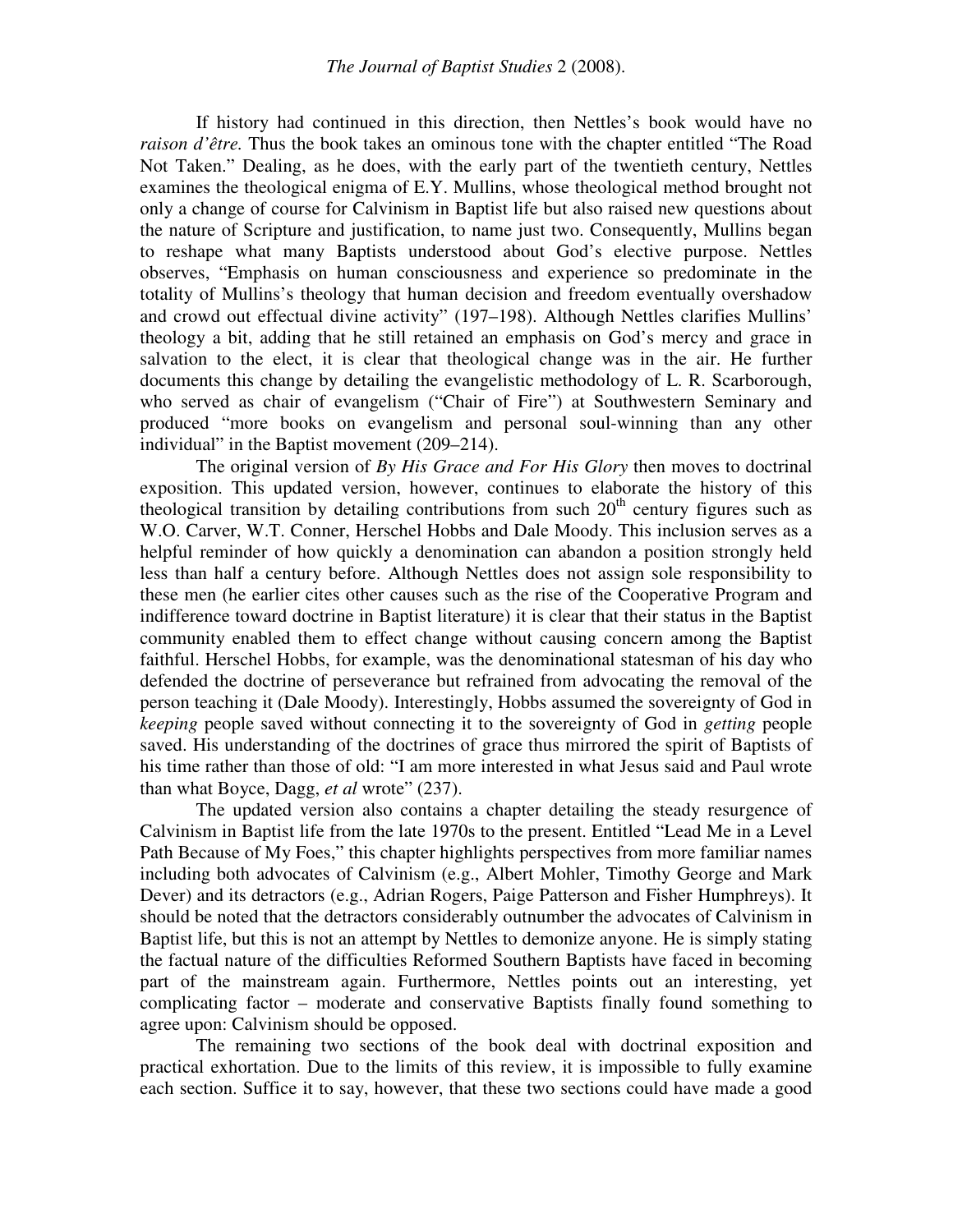If history had continued in this direction, then Nettles's book would have no *raison d'être.* Thus the book takes an ominous tone with the chapter entitled "The Road Not Taken." Dealing, as he does, with the early part of the twentieth century, Nettles examines the theological enigma of E.Y. Mullins, whose theological method brought not only a change of course for Calvinism in Baptist life but also raised new questions about the nature of Scripture and justification, to name just two. Consequently, Mullins began to reshape what many Baptists understood about God's elective purpose. Nettles observes, "Emphasis on human consciousness and experience so predominate in the totality of Mullins's theology that human decision and freedom eventually overshadow and crowd out effectual divine activity" (197–198). Although Nettles clarifies Mullins' theology a bit, adding that he still retained an emphasis on God's mercy and grace in salvation to the elect, it is clear that theological change was in the air. He further documents this change by detailing the evangelistic methodology of L. R. Scarborough, who served as chair of evangelism ("Chair of Fire") at Southwestern Seminary and produced "more books on evangelism and personal soul-winning than any other individual" in the Baptist movement (209–214).

The original version of *By His Grace and For His Glory* then moves to doctrinal exposition. This updated version, however, continues to elaborate the history of this theological transition by detailing contributions from such  $20<sup>th</sup>$  century figures such as W.O. Carver, W.T. Conner, Herschel Hobbs and Dale Moody. This inclusion serves as a helpful reminder of how quickly a denomination can abandon a position strongly held less than half a century before. Although Nettles does not assign sole responsibility to these men (he earlier cites other causes such as the rise of the Cooperative Program and indifference toward doctrine in Baptist literature) it is clear that their status in the Baptist community enabled them to effect change without causing concern among the Baptist faithful. Herschel Hobbs, for example, was the denominational statesman of his day who defended the doctrine of perseverance but refrained from advocating the removal of the person teaching it (Dale Moody). Interestingly, Hobbs assumed the sovereignty of God in *keeping* people saved without connecting it to the sovereignty of God in *getting* people saved. His understanding of the doctrines of grace thus mirrored the spirit of Baptists of his time rather than those of old: "I am more interested in what Jesus said and Paul wrote than what Boyce, Dagg, *et al* wrote" (237).

The updated version also contains a chapter detailing the steady resurgence of Calvinism in Baptist life from the late 1970s to the present. Entitled "Lead Me in a Level Path Because of My Foes," this chapter highlights perspectives from more familiar names including both advocates of Calvinism (e.g., Albert Mohler, Timothy George and Mark Dever) and its detractors (e.g., Adrian Rogers, Paige Patterson and Fisher Humphreys). It should be noted that the detractors considerably outnumber the advocates of Calvinism in Baptist life, but this is not an attempt by Nettles to demonize anyone. He is simply stating the factual nature of the difficulties Reformed Southern Baptists have faced in becoming part of the mainstream again. Furthermore, Nettles points out an interesting, yet complicating factor – moderate and conservative Baptists finally found something to agree upon: Calvinism should be opposed.

The remaining two sections of the book deal with doctrinal exposition and practical exhortation. Due to the limits of this review, it is impossible to fully examine each section. Suffice it to say, however, that these two sections could have made a good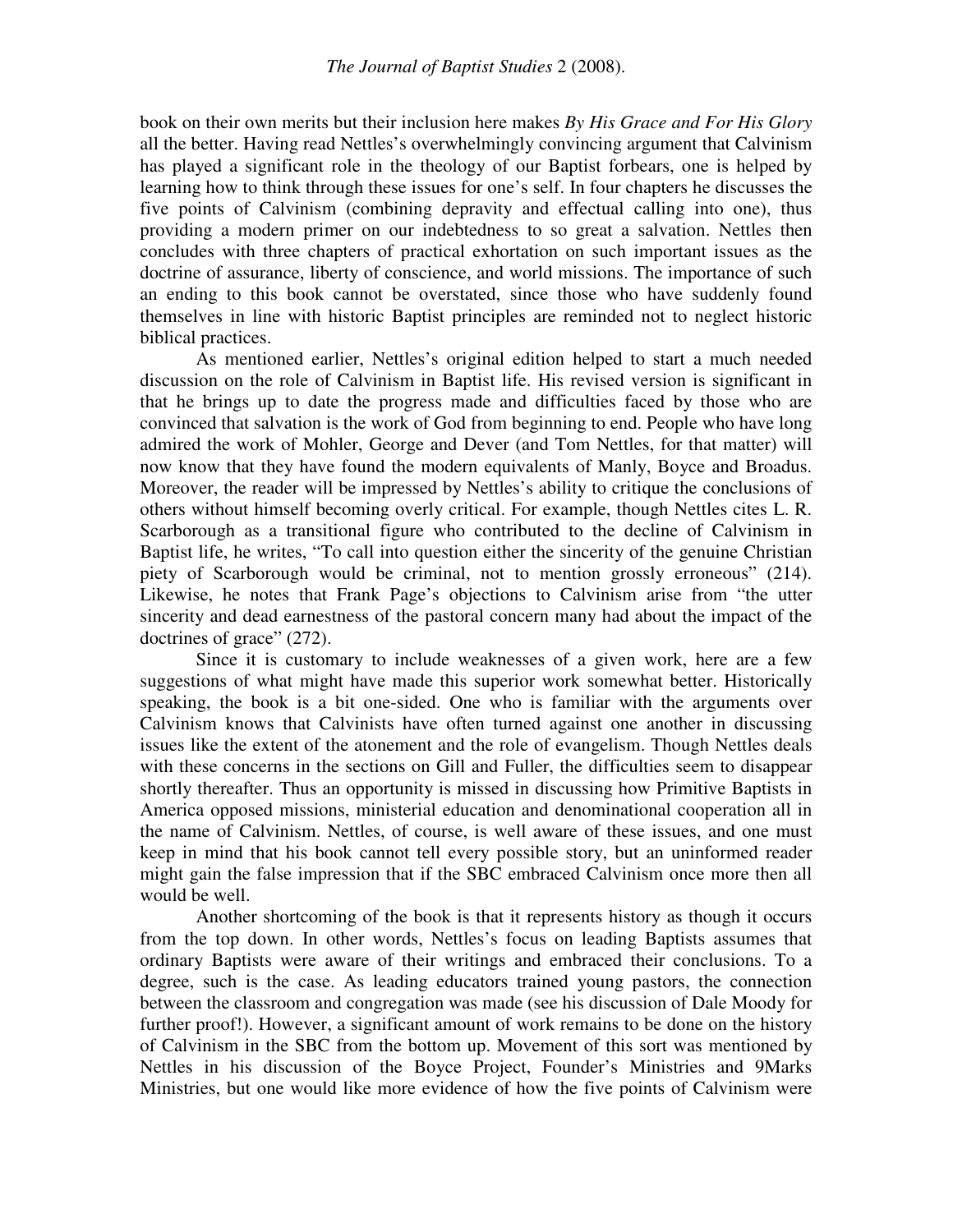book on their own merits but their inclusion here makes *By His Grace and For His Glory* all the better. Having read Nettles's overwhelmingly convincing argument that Calvinism has played a significant role in the theology of our Baptist forbears, one is helped by learning how to think through these issues for one's self. In four chapters he discusses the five points of Calvinism (combining depravity and effectual calling into one), thus providing a modern primer on our indebtedness to so great a salvation. Nettles then concludes with three chapters of practical exhortation on such important issues as the doctrine of assurance, liberty of conscience, and world missions. The importance of such an ending to this book cannot be overstated, since those who have suddenly found themselves in line with historic Baptist principles are reminded not to neglect historic biblical practices.

As mentioned earlier, Nettles's original edition helped to start a much needed discussion on the role of Calvinism in Baptist life. His revised version is significant in that he brings up to date the progress made and difficulties faced by those who are convinced that salvation is the work of God from beginning to end. People who have long admired the work of Mohler, George and Dever (and Tom Nettles, for that matter) will now know that they have found the modern equivalents of Manly, Boyce and Broadus. Moreover, the reader will be impressed by Nettles's ability to critique the conclusions of others without himself becoming overly critical. For example, though Nettles cites L. R. Scarborough as a transitional figure who contributed to the decline of Calvinism in Baptist life, he writes, "To call into question either the sincerity of the genuine Christian piety of Scarborough would be criminal, not to mention grossly erroneous" (214). Likewise, he notes that Frank Page's objections to Calvinism arise from "the utter sincerity and dead earnestness of the pastoral concern many had about the impact of the doctrines of grace" (272).

Since it is customary to include weaknesses of a given work, here are a few suggestions of what might have made this superior work somewhat better. Historically speaking, the book is a bit one-sided. One who is familiar with the arguments over Calvinism knows that Calvinists have often turned against one another in discussing issues like the extent of the atonement and the role of evangelism. Though Nettles deals with these concerns in the sections on Gill and Fuller, the difficulties seem to disappear shortly thereafter. Thus an opportunity is missed in discussing how Primitive Baptists in America opposed missions, ministerial education and denominational cooperation all in the name of Calvinism. Nettles, of course, is well aware of these issues, and one must keep in mind that his book cannot tell every possible story, but an uninformed reader might gain the false impression that if the SBC embraced Calvinism once more then all would be well.

Another shortcoming of the book is that it represents history as though it occurs from the top down. In other words, Nettles's focus on leading Baptists assumes that ordinary Baptists were aware of their writings and embraced their conclusions. To a degree, such is the case. As leading educators trained young pastors, the connection between the classroom and congregation was made (see his discussion of Dale Moody for further proof!). However, a significant amount of work remains to be done on the history of Calvinism in the SBC from the bottom up. Movement of this sort was mentioned by Nettles in his discussion of the Boyce Project, Founder's Ministries and 9Marks Ministries, but one would like more evidence of how the five points of Calvinism were